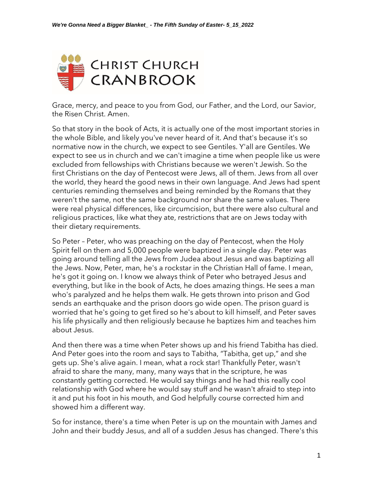

Grace, mercy, and peace to you from God, our Father, and the Lord, our Savior, the Risen Christ. Amen.

So that story in the book of Acts, it is actually one of the most important stories in the whole Bible, and likely you've never heard of it. And that's because it's so normative now in the church, we expect to see Gentiles. Y'all are Gentiles. We expect to see us in church and we can't imagine a time when people like us were excluded from fellowships with Christians because we weren't Jewish. So the first Christians on the day of Pentecost were Jews, all of them. Jews from all over the world, they heard the good news in their own language. And Jews had spent centuries reminding themselves and being reminded by the Romans that they weren't the same, not the same background nor share the same values. There were real physical differences, like circumcision, but there were also cultural and religious practices, like what they ate, restrictions that are on Jews today with their dietary requirements.

So Peter – Peter, who was preaching on the day of Pentecost, when the Holy Spirit fell on them and 5,000 people were baptized in a single day. Peter was going around telling all the Jews from Judea about Jesus and was baptizing all the Jews. Now, Peter, man, he's a rockstar in the Christian Hall of fame. I mean, he's got it going on. I know we always think of Peter who betrayed Jesus and everything, but like in the book of Acts, he does amazing things. He sees a man who's paralyzed and he helps them walk. He gets thrown into prison and God sends an earthquake and the prison doors go wide open. The prison guard is worried that he's going to get fired so he's about to kill himself, and Peter saves his life physically and then religiously because he baptizes him and teaches him about Jesus.

And then there was a time when Peter shows up and his friend Tabitha has died. And Peter goes into the room and says to Tabitha, "Tabitha, get up," and she gets up. She's alive again. I mean, what a rock star! Thankfully Peter, wasn't afraid to share the many, many, many ways that in the scripture, he was constantly getting corrected. He would say things and he had this really cool relationship with God where he would say stuff and he wasn't afraid to step into it and put his foot in his mouth, and God helpfully course corrected him and showed him a different way.

So for instance, there's a time when Peter is up on the mountain with James and John and their buddy Jesus, and all of a sudden Jesus has changed. There's this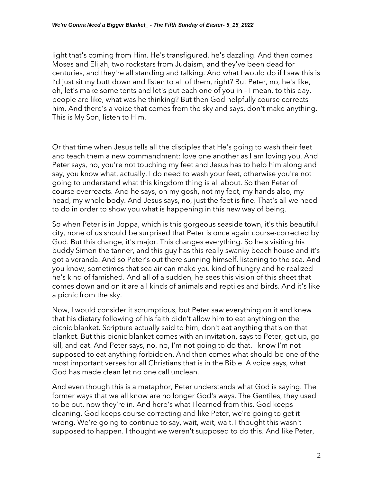light that's coming from Him. He's transfigured, he's dazzling. And then comes Moses and Elijah, two rockstars from Judaism, and they've been dead for centuries, and they're all standing and talking. And what I would do if I saw this is I'd just sit my butt down and listen to all of them, right? But Peter, no, he's like, oh, let's make some tents and let's put each one of you in – I mean, to this day, people are like, what was he thinking? But then God helpfully course corrects him. And there's a voice that comes from the sky and says, don't make anything. This is My Son, listen to Him.

Or that time when Jesus tells all the disciples that He's going to wash their feet and teach them a new commandment: love one another as I am loving you. And Peter says, no, you're not touching my feet and Jesus has to help him along and say, you know what, actually, I do need to wash your feet, otherwise you're not going to understand what this kingdom thing is all about. So then Peter of course overreacts. And he says, oh my gosh, not my feet, my hands also, my head, my whole body. And Jesus says, no, just the feet is fine. That's all we need to do in order to show you what is happening in this new way of being.

So when Peter is in Joppa, which is this gorgeous seaside town, it's this beautiful city, none of us should be surprised that Peter is once again course-corrected by God. But this change, it's major. This changes everything. So he's visiting his buddy Simon the tanner, and this guy has this really swanky beach house and it's got a veranda. And so Peter's out there sunning himself, listening to the sea. And you know, sometimes that sea air can make you kind of hungry and he realized he's kind of famished. And all of a sudden, he sees this vision of this sheet that comes down and on it are all kinds of animals and reptiles and birds. And it's like a picnic from the sky.

Now, I would consider it scrumptious, but Peter saw everything on it and knew that his dietary following of his faith didn't allow him to eat anything on the picnic blanket. Scripture actually said to him, don't eat anything that's on that blanket. But this picnic blanket comes with an invitation, says to Peter, get up, go kill, and eat. And Peter says, no, no, I'm not going to do that. I know I'm not supposed to eat anything forbidden. And then comes what should be one of the most important verses for all Christians that is in the Bible. A voice says, what God has made clean let no one call unclean.

And even though this is a metaphor, Peter understands what God is saying. The former ways that we all know are no longer God's ways. The Gentiles, they used to be out, now they're in. And here's what I learned from this. God keeps cleaning. God keeps course correcting and like Peter, we're going to get it wrong. We're going to continue to say, wait, wait, wait. I thought this wasn't supposed to happen. I thought we weren't supposed to do this. And like Peter,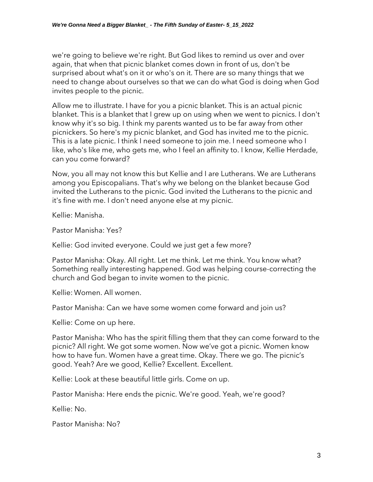we're going to believe we're right. But God likes to remind us over and over again, that when that picnic blanket comes down in front of us, don't be surprised about what's on it or who's on it. There are so many things that we need to change about ourselves so that we can do what God is doing when God invites people to the picnic.

Allow me to illustrate. I have for you a picnic blanket. This is an actual picnic blanket. This is a blanket that I grew up on using when we went to picnics. I don't know why it's so big. I think my parents wanted us to be far away from other picnickers. So here's my picnic blanket, and God has invited me to the picnic. This is a late picnic. I think I need someone to join me. I need someone who I like, who's like me, who gets me, who I feel an affinity to. I know, Kellie Herdade, can you come forward?

Now, you all may not know this but Kellie and I are Lutherans. We are Lutherans among you Episcopalians. That's why we belong on the blanket because God invited the Lutherans to the picnic. God invited the Lutherans to the picnic and it's fine with me. I don't need anyone else at my picnic.

Kellie: Manisha.

Pastor Manisha: Yes?

Kellie: God invited everyone. Could we just get a few more?

Pastor Manisha: Okay. All right. Let me think. Let me think. You know what? Something really interesting happened. God was helping course-correcting the church and God began to invite women to the picnic.

Kellie: Women. All women.

Pastor Manisha: Can we have some women come forward and join us?

Kellie: Come on up here.

Pastor Manisha: Who has the spirit filling them that they can come forward to the picnic? All right. We got some women. Now we've got a picnic. Women know how to have fun. Women have a great time. Okay. There we go. The picnic's good. Yeah? Are we good, Kellie? Excellent. Excellent.

Kellie: Look at these beautiful little girls. Come on up.

Pastor Manisha: Here ends the picnic. We're good. Yeah, we're good?

Kellie: No.

Pastor Manisha: No?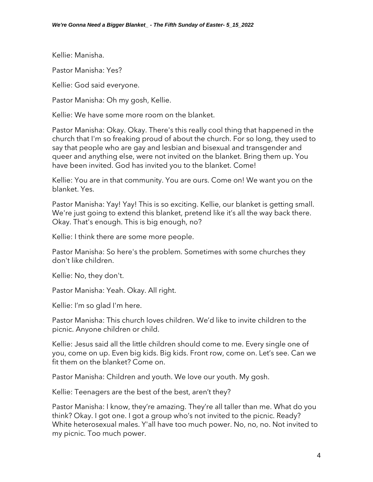Kellie: Manisha.

Pastor Manisha: Yes?

Kellie: God said everyone.

Pastor Manisha: Oh my gosh, Kellie.

Kellie: We have some more room on the blanket.

Pastor Manisha: Okay. Okay. There's this really cool thing that happened in the church that I'm so freaking proud of about the church. For so long, they used to say that people who are gay and lesbian and bisexual and transgender and queer and anything else, were not invited on the blanket. Bring them up. You have been invited. God has invited you to the blanket. Come!

Kellie: You are in that community. You are ours. Come on! We want you on the blanket. Yes.

Pastor Manisha: Yay! Yay! This is so exciting. Kellie, our blanket is getting small. We're just going to extend this blanket, pretend like it's all the way back there. Okay. That's enough. This is big enough, no?

Kellie: I think there are some more people.

Pastor Manisha: So here's the problem. Sometimes with some churches they don't like children.

Kellie: No, they don't.

Pastor Manisha: Yeah. Okay. All right.

Kellie: I'm so glad I'm here.

Pastor Manisha: This church loves children. We'd like to invite children to the picnic. Anyone children or child.

Kellie: Jesus said all the little children should come to me. Every single one of you, come on up. Even big kids. Big kids. Front row, come on. Let's see. Can we fit them on the blanket? Come on.

Pastor Manisha: Children and youth. We love our youth. My gosh.

Kellie: Teenagers are the best of the best, aren't they?

Pastor Manisha: I know, they're amazing. They're all taller than me. What do you think? Okay. I got one. I got a group who's not invited to the picnic. Ready? White heterosexual males. Y'all have too much power. No, no, no. Not invited to my picnic. Too much power.